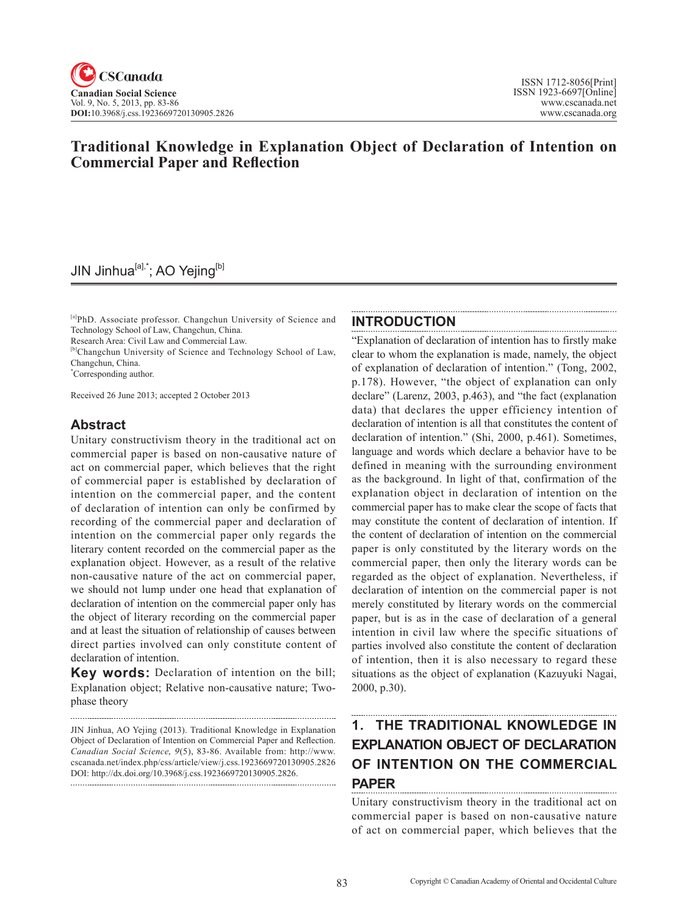# **Traditional Knowledge in Explanation Object of Declaration of Intention on Commercial Paper and Reflection**

# JIN Jinhua<sup>[a],\*</sup>; AO Yejing<sup>[b]</sup>

[a]PhD. Associate professor. Changchun University of Science and Technology School of Law, Changchun, China.

Research Area: Civil Law and Commercial Law.

[b]Changchun University of Science and Technology School of Law, Changchun, China.

\* Corresponding author.

Received 26 June 2013; accepted 2 October 2013

### **Abstract**

Unitary constructivism theory in the traditional act on commercial paper is based on non-causative nature of act on commercial paper, which believes that the right of commercial paper is established by declaration of intention on the commercial paper, and the content of declaration of intention can only be confirmed by recording of the commercial paper and declaration of intention on the commercial paper only regards the literary content recorded on the commercial paper as the explanation object. However, as a result of the relative non-causative nature of the act on commercial paper, we should not lump under one head that explanation of declaration of intention on the commercial paper only has the object of literary recording on the commercial paper and at least the situation of relationship of causes between direct parties involved can only constitute content of declaration of intention.

**Key words:** Declaration of intention on the bill; Explanation object; Relative non-causative nature; Twophase theory

## **INTRODUCTION**

"Explanation of declaration of intention has to firstly make clear to whom the explanation is made, namely, the object of explanation of declaration of intention." (Tong, 2002, p.178). However, "the object of explanation can only declare" (Larenz, 2003, p.463), and "the fact (explanation data) that declares the upper efficiency intention of declaration of intention is all that constitutes the content of declaration of intention." (Shi, 2000, p.461). Sometimes, language and words which declare a behavior have to be defined in meaning with the surrounding environment as the background. In light of that, confirmation of the explanation object in declaration of intention on the commercial paper has to make clear the scope of facts that may constitute the content of declaration of intention. If the content of declaration of intention on the commercial paper is only constituted by the literary words on the commercial paper, then only the literary words can be regarded as the object of explanation. Nevertheless, if declaration of intention on the commercial paper is not merely constituted by literary words on the commercial paper, but is as in the case of declaration of a general intention in civil law where the specific situations of parties involved also constitute the content of declaration of intention, then it is also necessary to regard these situations as the object of explanation (Kazuyuki Nagai, 2000, p.30).

## **1. THE TRADITIONAL KNOWLEDGE IN EXPLANATION OBJECT OF DECLARATION OF INTENTION ON THE COMMERCIAL PAPER**

Unitary constructivism theory in the traditional act on commercial paper is based on non-causative nature of act on commercial paper, which believes that the

JIN Jinhua, AO Yejing (2013). Traditional Knowledge in Explanation Object of Declaration of Intention on Commercial Paper and Reflection. *Canadian Social Science*, <sup>9</sup>(5), 83-86. Available from: http://www. cscanada.net/index.php/css/article/view/j.css.1923669720130905.2826 DOI: http://dx.doi.org/10.3968/j.css.1923669720130905.2826.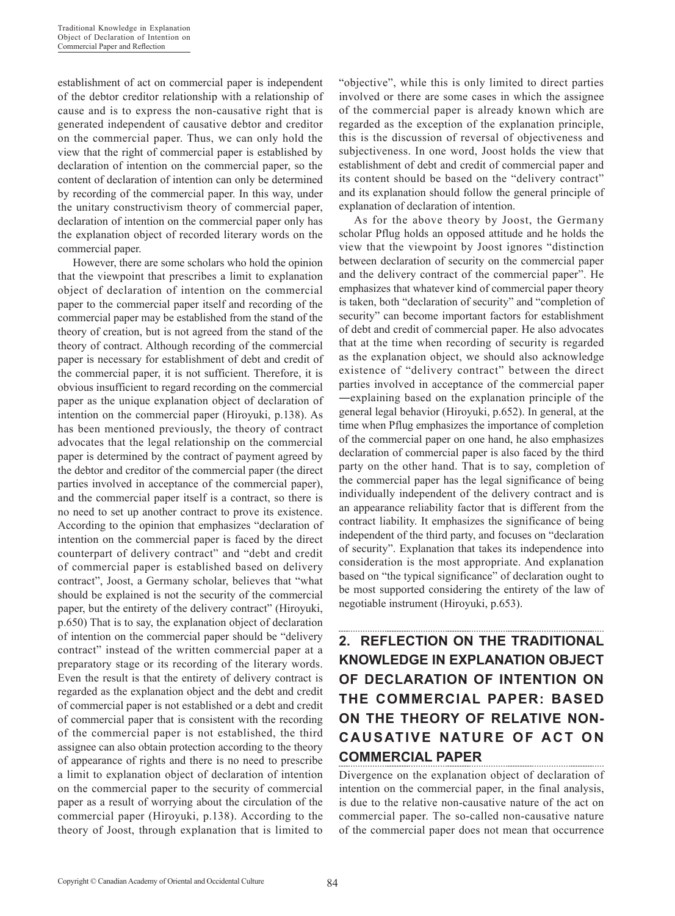establishment of act on commercial paper is independent of the debtor creditor relationship with a relationship of cause and is to express the non-causative right that is generated independent of causative debtor and creditor on the commercial paper. Thus, we can only hold the view that the right of commercial paper is established by declaration of intention on the commercial paper, so the content of declaration of intention can only be determined by recording of the commercial paper. In this way, under the unitary constructivism theory of commercial paper, declaration of intention on the commercial paper only has the explanation object of recorded literary words on the commercial paper.

However, there are some scholars who hold the opinion that the viewpoint that prescribes a limit to explanation object of declaration of intention on the commercial paper to the commercial paper itself and recording of the commercial paper may be established from the stand of the theory of creation, but is not agreed from the stand of the theory of contract. Although recording of the commercial paper is necessary for establishment of debt and credit of the commercial paper, it is not sufficient. Therefore, it is obvious insufficient to regard recording on the commercial paper as the unique explanation object of declaration of intention on the commercial paper (Hiroyuki, p.138). As has been mentioned previously, the theory of contract advocates that the legal relationship on the commercial paper is determined by the contract of payment agreed by the debtor and creditor of the commercial paper (the direct parties involved in acceptance of the commercial paper), and the commercial paper itself is a contract, so there is no need to set up another contract to prove its existence. According to the opinion that emphasizes "declaration of intention on the commercial paper is faced by the direct counterpart of delivery contract" and "debt and credit of commercial paper is established based on delivery contract", Joost, a Germany scholar, believes that "what should be explained is not the security of the commercial paper, but the entirety of the delivery contract" (Hiroyuki, p.650) That is to say, the explanation object of declaration of intention on the commercial paper should be "delivery contract" instead of the written commercial paper at a preparatory stage or its recording of the literary words. Even the result is that the entirety of delivery contract is regarded as the explanation object and the debt and credit of commercial paper is not established or a debt and credit of commercial paper that is consistent with the recording of the commercial paper is not established, the third assignee can also obtain protection according to the theory of appearance of rights and there is no need to prescribe a limit to explanation object of declaration of intention on the commercial paper to the security of commercial paper as a result of worrying about the circulation of the commercial paper (Hiroyuki, p.138). According to the theory of Joost, through explanation that is limited to

"objective", while this is only limited to direct parties involved or there are some cases in which the assignee of the commercial paper is already known which are regarded as the exception of the explanation principle, this is the discussion of reversal of objectiveness and subjectiveness. In one word, Joost holds the view that establishment of debt and credit of commercial paper and its content should be based on the "delivery contract" and its explanation should follow the general principle of explanation of declaration of intention.

As for the above theory by Joost, the Germany scholar Pflug holds an opposed attitude and he holds the view that the viewpoint by Joost ignores "distinction between declaration of security on the commercial paper and the delivery contract of the commercial paper". He emphasizes that whatever kind of commercial paper theory is taken, both "declaration of security" and "completion of security" can become important factors for establishment of debt and credit of commercial paper. He also advocates that at the time when recording of security is regarded as the explanation object, we should also acknowledge existence of "delivery contract" between the direct parties involved in acceptance of the commercial paper ―explaining based on the explanation principle of the general legal behavior (Hiroyuki, p.652). In general, at the time when Pflug emphasizes the importance of completion of the commercial paper on one hand, he also emphasizes declaration of commercial paper is also faced by the third party on the other hand. That is to say, completion of the commercial paper has the legal significance of being individually independent of the delivery contract and is an appearance reliability factor that is different from the contract liability. It emphasizes the significance of being independent of the third party, and focuses on "declaration of security". Explanation that takes its independence into consideration is the most appropriate. And explanation based on "the typical significance" of declaration ought to be most supported considering the entirety of the law of negotiable instrument (Hiroyuki, p.653).

# **2. REFLECTION ON THE TRADITIONAL KNOWLEDGE IN EXPLANATION OBJECT OF DECLARATION OF INTENTION ON THE COMMERCIAL PAPER: BASED ON THE THEORY OF RELATIVE NON-CAUSATIVE NATURE OF ACT ON COMMERCIAL PAPER**

Divergence on the explanation object of declaration of intention on the commercial paper, in the final analysis, is due to the relative non-causative nature of the act on commercial paper. The so-called non-causative nature of the commercial paper does not mean that occurrence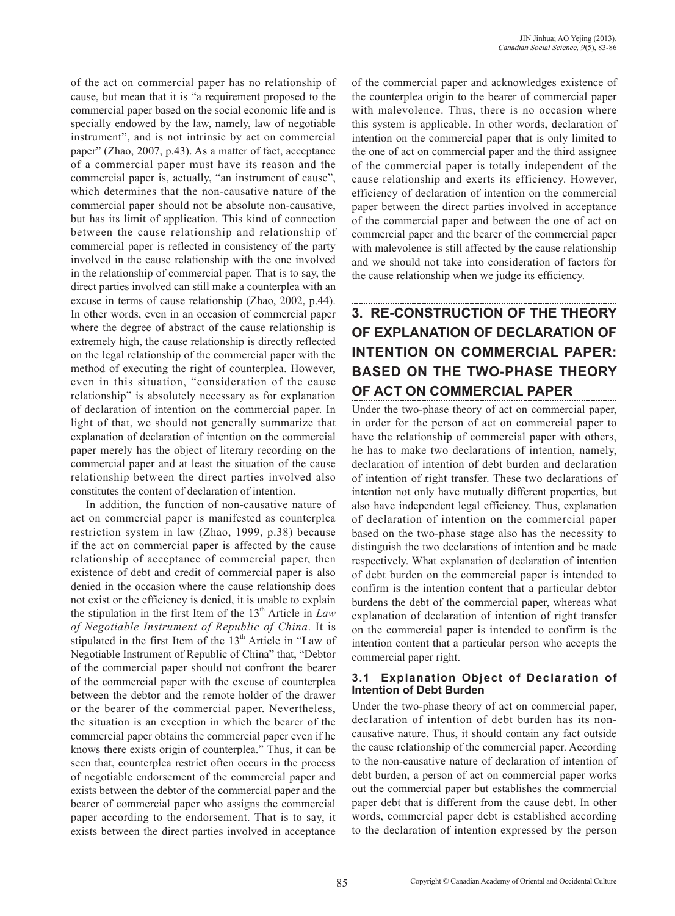of the act on commercial paper has no relationship of cause, but mean that it is "a requirement proposed to the commercial paper based on the social economic life and is specially endowed by the law, namely, law of negotiable instrument", and is not intrinsic by act on commercial paper" (Zhao, 2007, p.43). As a matter of fact, acceptance of a commercial paper must have its reason and the commercial paper is, actually, "an instrument of cause", which determines that the non-causative nature of the commercial paper should not be absolute non-causative, but has its limit of application. This kind of connection between the cause relationship and relationship of commercial paper is reflected in consistency of the party involved in the cause relationship with the one involved in the relationship of commercial paper. That is to say, the direct parties involved can still make a counterplea with an excuse in terms of cause relationship (Zhao, 2002, p.44). In other words, even in an occasion of commercial paper where the degree of abstract of the cause relationship is extremely high, the cause relationship is directly reflected on the legal relationship of the commercial paper with the method of executing the right of counterplea. However, even in this situation, "consideration of the cause relationship" is absolutely necessary as for explanation of declaration of intention on the commercial paper. In light of that, we should not generally summarize that explanation of declaration of intention on the commercial paper merely has the object of literary recording on the commercial paper and at least the situation of the cause relationship between the direct parties involved also constitutes the content of declaration of intention.

In addition, the function of non-causative nature of act on commercial paper is manifested as counterplea restriction system in law (Zhao, 1999, p.38) because if the act on commercial paper is affected by the cause relationship of acceptance of commercial paper, then existence of debt and credit of commercial paper is also denied in the occasion where the cause relationship does not exist or the efficiency is denied, it is unable to explain the stipulation in the first Item of the  $13<sup>th</sup>$  Article in *Law of Negotiable Instrument of Republic of China*. It is stipulated in the first Item of the  $13<sup>th</sup>$  Article in "Law of Negotiable Instrument of Republic of China" that, "Debtor of the commercial paper should not confront the bearer of the commercial paper with the excuse of counterplea between the debtor and the remote holder of the drawer or the bearer of the commercial paper. Nevertheless, the situation is an exception in which the bearer of the commercial paper obtains the commercial paper even if he knows there exists origin of counterplea." Thus, it can be seen that, counterplea restrict often occurs in the process of negotiable endorsement of the commercial paper and exists between the debtor of the commercial paper and the bearer of commercial paper who assigns the commercial paper according to the endorsement. That is to say, it exists between the direct parties involved in acceptance

of the commercial paper and acknowledges existence of the counterplea origin to the bearer of commercial paper with malevolence. Thus, there is no occasion where this system is applicable. In other words, declaration of intention on the commercial paper that is only limited to the one of act on commercial paper and the third assignee of the commercial paper is totally independent of the cause relationship and exerts its efficiency. However, efficiency of declaration of intention on the commercial paper between the direct parties involved in acceptance of the commercial paper and between the one of act on commercial paper and the bearer of the commercial paper with malevolence is still affected by the cause relationship and we should not take into consideration of factors for the cause relationship when we judge its efficiency.

# **3. RE-CONSTRUCTION OF THE THEORY OF EXPLANATION OF DECLARATION OF INTENTION ON COMMERCIAL PAPER: BASED ON THE TWO-PHASE THEORY OF ACT ON COMMERCIAL PAPER**

Under the two-phase theory of act on commercial paper, in order for the person of act on commercial paper to have the relationship of commercial paper with others, he has to make two declarations of intention, namely, declaration of intention of debt burden and declaration of intention of right transfer. These two declarations of intention not only have mutually different properties, but also have independent legal efficiency. Thus, explanation of declaration of intention on the commercial paper based on the two-phase stage also has the necessity to distinguish the two declarations of intention and be made respectively. What explanation of declaration of intention of debt burden on the commercial paper is intended to confirm is the intention content that a particular debtor burdens the debt of the commercial paper, whereas what explanation of declaration of intention of right transfer on the commercial paper is intended to confirm is the intention content that a particular person who accepts the commercial paper right.

#### **3.1 Explanation Object of Declaration of Intention of Debt Burden**

Under the two-phase theory of act on commercial paper, declaration of intention of debt burden has its noncausative nature. Thus, it should contain any fact outside the cause relationship of the commercial paper. According to the non-causative nature of declaration of intention of debt burden, a person of act on commercial paper works out the commercial paper but establishes the commercial paper debt that is different from the cause debt. In other words, commercial paper debt is established according to the declaration of intention expressed by the person